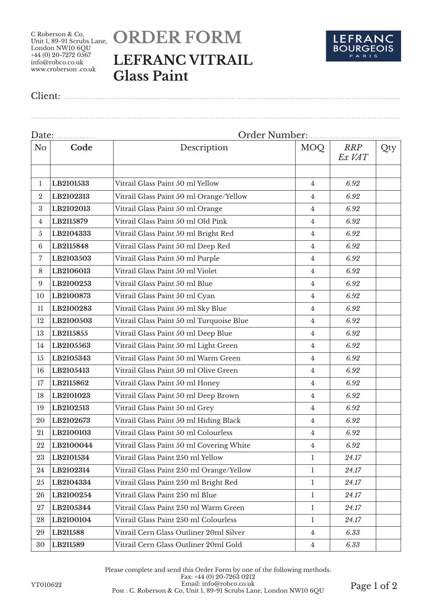C Roberson & Co, Unit 1, 89-91 Scrubs Lane.<br>Unit 1, 89-91 Scrubs Lane. London NW10 6QU  $+44(0)$  20-7272 0567 info@robco.co.uk www.croberson .co.uk

## **ORDER FORM LEFRANC VITRAIL Glass Paint**



Client: ..................................................................................................................................................

Date: ................. Order Number:........................................ No **Code Description** MOQ *RRP Ex VAT* Qty **LB2101533** Vitrail Glass Paint 50 ml Yellow 4 *6.92* **LB2102313** Vitrail Glass Paint 50 ml Orange/Yellow 4 *6.92* **LB2102013** Vitrail Glass Paint 50 ml Orange 4 *6.92* **LB2115879** Vitrail Glass Paint 50 ml Old Pink 4 *6.92* **LB2104333** Vitrail Glass Paint 50 ml Bright Red 4 *6.92* **LB2115848** Vitrail Glass Paint 50 ml Deep Red 4 *6.92* **LB2103503** Vitrail Glass Paint 50 ml Purple 4 *6.92* **LB2106013** Vitrail Glass Paint 50 ml Violet 4 *6.92* **LB2100253** Vitrail Glass Paint 50 ml Blue 4 *6.92* **LB2100873** Vitrail Glass Paint 50 ml Cyan 4 *6.92* **LB2100283** Vitrail Glass Paint 50 ml Sky Blue 4 *6.92* **LB2100503** Vitrail Glass Paint 50 ml Turquoise Blue 4 *6.92* **LB2115855** Vitrail Glass Paint 50 ml Deep Blue 4 *6.92* **LB2105563** Vitrail Glass Paint 50 ml Light Green 4 *6.92* **LB2105343** Vitrail Glass Paint 50 ml Warm Green 4 *6.92* **LB2105413** Vitrail Glass Paint 50 ml Olive Green 4 *6.92* **LB2115862** Vitrail Glass Paint 50 ml Honey 4 *6.92* **LB2101023** Vitrail Glass Paint 50 ml Deep Brown 4 *6.92* **LB2102513** Vitrail Glass Paint 50 ml Grey 4 *6.92* **LB2102673** Vitrail Glass Paint 50 ml Hiding Black 4 *6.92* **LB2100103** Vitrail Glass Paint 50 ml Colourless 4 *6.92* **LB2100044** Vitrail Glass Paint 50 ml Covering White 4 *6.92* **LB2101534** Vitrail Glass Paint 250 ml Yellow 1 *24.17* **LB2102314** Vitrail Glass Paint 250 ml Orange/Yellow 1 *24.17* **LB2104334** Vitrail Glass Paint 250 ml Bright Red 1 *24.17* **LB2100254** Vitrail Glass Paint 250 ml Blue 1 *24.17* **LB2105344** Vitrail Glass Paint 250 ml Warm Green 1 *24.17* **LB2100104** Vitrail Glass Paint 250 ml Colourless 1 *24.17* **LB211588** Vitrail Cern Glass Outliner 20ml Silver 4 *6.33* **LB211589** Vitrail Cern Glass Outliner 20ml Gold 4 *6.33*

................................................................................................................................................................